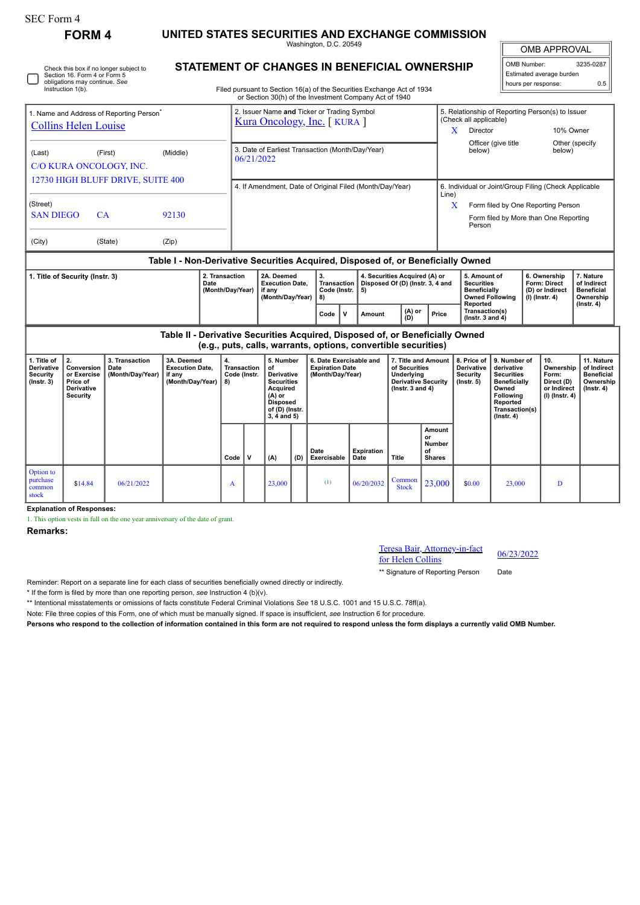| <b>SEC Form 4</b>                                                                                                                               | <b>FORM4</b>                                                                 |                                                                            |                                                                                  |                                                |                                                                                                                                                                                  |                                                                                                                                           |     |                                                                       |                           |                                                                                                          |                                                      |                                                                                                           |                                                                                                                                                |                                                               |                                                                          |                                                                                 |
|-------------------------------------------------------------------------------------------------------------------------------------------------|------------------------------------------------------------------------------|----------------------------------------------------------------------------|----------------------------------------------------------------------------------|------------------------------------------------|----------------------------------------------------------------------------------------------------------------------------------------------------------------------------------|-------------------------------------------------------------------------------------------------------------------------------------------|-----|-----------------------------------------------------------------------|---------------------------|----------------------------------------------------------------------------------------------------------|------------------------------------------------------|-----------------------------------------------------------------------------------------------------------|------------------------------------------------------------------------------------------------------------------------------------------------|---------------------------------------------------------------|--------------------------------------------------------------------------|---------------------------------------------------------------------------------|
|                                                                                                                                                 |                                                                              | UNITED STATES SECURITIES AND EXCHANGE COMMISSION<br>Washington, D.C. 20549 |                                                                                  |                                                |                                                                                                                                                                                  |                                                                                                                                           |     |                                                                       |                           |                                                                                                          |                                                      |                                                                                                           | <b>OMB APPROVAL</b>                                                                                                                            |                                                               |                                                                          |                                                                                 |
| Check this box if no longer subject to<br>Section 16. Form 4 or Form 5<br>obligations may continue. See<br>Instruction 1(b).                    |                                                                              |                                                                            |                                                                                  |                                                | STATEMENT OF CHANGES IN BENEFICIAL OWNERSHIP<br>Filed pursuant to Section 16(a) of the Securities Exchange Act of 1934<br>or Section 30(h) of the Investment Company Act of 1940 |                                                                                                                                           |     |                                                                       |                           |                                                                                                          |                                                      |                                                                                                           | OMB Number:<br>3235-0287<br>Estimated average burden<br>hours per response:<br>0.5                                                             |                                                               |                                                                          |                                                                                 |
| 1. Name and Address of Reporting Person <sup>®</sup><br><b>Collins Helen Louise</b>                                                             |                                                                              |                                                                            |                                                                                  |                                                | 2. Issuer Name and Ticker or Trading Symbol<br>Kura Oncology, Inc. [KURA]                                                                                                        |                                                                                                                                           |     |                                                                       |                           |                                                                                                          |                                                      | (Check all applicable)<br>Director<br>X                                                                   |                                                                                                                                                | 5. Relationship of Reporting Person(s) to Issuer<br>10% Owner |                                                                          |                                                                                 |
| (Last)<br>(First)<br>(Middle)<br>C/O KURA ONCOLOGY, INC.                                                                                        |                                                                              |                                                                            |                                                                                  |                                                | 3. Date of Earliest Transaction (Month/Day/Year)<br>06/21/2022                                                                                                                   |                                                                                                                                           |     |                                                                       |                           |                                                                                                          |                                                      |                                                                                                           | Other (specify<br>Officer (give title<br>below)<br>below)                                                                                      |                                                               |                                                                          |                                                                                 |
| 12730 HIGH BLUFF DRIVE, SUITE 400<br>(Street)                                                                                                   |                                                                              |                                                                            |                                                                                  |                                                | 4. If Amendment, Date of Original Filed (Month/Day/Year)                                                                                                                         |                                                                                                                                           |     |                                                                       |                           |                                                                                                          |                                                      | 6. Individual or Joint/Group Filing (Check Applicable<br>Line)<br>X<br>Form filed by One Reporting Person |                                                                                                                                                |                                                               |                                                                          |                                                                                 |
| <b>SAN DIEGO</b><br>CA<br>92130<br>(State)<br>(Zip)<br>(City)                                                                                   |                                                                              |                                                                            |                                                                                  |                                                |                                                                                                                                                                                  |                                                                                                                                           |     |                                                                       |                           |                                                                                                          |                                                      | Form filed by More than One Reporting<br>Person                                                           |                                                                                                                                                |                                                               |                                                                          |                                                                                 |
|                                                                                                                                                 |                                                                              |                                                                            | Table I - Non-Derivative Securities Acquired, Disposed of, or Beneficially Owned |                                                |                                                                                                                                                                                  |                                                                                                                                           |     |                                                                       |                           |                                                                                                          |                                                      |                                                                                                           |                                                                                                                                                |                                                               |                                                                          |                                                                                 |
| 2. Transaction<br>1. Title of Security (Instr. 3)<br>Date<br>(Month/Day/Year)                                                                   |                                                                              |                                                                            |                                                                                  |                                                |                                                                                                                                                                                  | 2A. Deemed<br><b>Execution Date,</b><br>if anv<br>(Month/Day/Year)                                                                        |     | 3.<br>Transaction<br>Code (Instr.<br>5)<br>8)                         |                           | 4. Securities Acquired (A) or<br>Disposed Of (D) (Instr. 3, 4 and                                        |                                                      | 5. Amount of<br><b>Securities</b><br><b>Beneficially</b><br><b>Owned Following</b>                        |                                                                                                                                                |                                                               | 6. Ownership<br>Form: Direct<br>(D) or Indirect<br>$(I)$ (Instr. 4)      | 7. Nature<br>of Indirect<br><b>Beneficial</b><br>Ownership                      |
|                                                                                                                                                 |                                                                              |                                                                            |                                                                                  |                                                |                                                                                                                                                                                  |                                                                                                                                           |     | $\mathbf{v}$<br>Code                                                  | Amount                    | (A) or<br>ÌDÍ                                                                                            | Price                                                | Reported<br>Transaction(s)<br>(Instr. $3$ and $4$ )                                                       |                                                                                                                                                |                                                               |                                                                          | (Instr. 4)                                                                      |
| Table II - Derivative Securities Acquired, Disposed of, or Beneficially Owned<br>(e.g., puts, calls, warrants, options, convertible securities) |                                                                              |                                                                            |                                                                                  |                                                |                                                                                                                                                                                  |                                                                                                                                           |     |                                                                       |                           |                                                                                                          |                                                      |                                                                                                           |                                                                                                                                                |                                                               |                                                                          |                                                                                 |
| 1. Title of<br>Derivative<br><b>Security</b><br>$($ Instr. 3 $)$                                                                                | 2.<br>Conversion<br>or Exercise<br>Price of<br>Derivative<br><b>Security</b> | 3. Transaction<br>Date<br>(Month/Day/Year)                                 | 3A. Deemed<br><b>Execution Date,</b><br>if any<br>(Month/Day/Year)               | 4.<br><b>Transaction</b><br>Code (Instr.<br>8) |                                                                                                                                                                                  | 5. Number<br>of<br><b>Derivative</b><br><b>Securities</b><br>Acquired<br>$(A)$ or<br><b>Disposed</b><br>of (D) (Instr.<br>$3, 4$ and $5)$ |     | 6. Date Exercisable and<br><b>Expiration Date</b><br>(Month/Day/Year) |                           | 7. Title and Amount<br>of Securities<br>Underlying<br><b>Derivative Security</b><br>( $lnstr. 3 and 4$ ) |                                                      | 8. Price of<br>Derivative<br><b>Security</b><br>$($ lnstr. 5 $)$                                          | 9. Number of<br>derivative<br><b>Securities</b><br><b>Beneficially</b><br>Owned<br>Following<br>Reported<br>Transaction(s)<br>$($ Instr. 4 $)$ |                                                               | 10.<br>Ownership<br>Form:<br>Direct (D)<br>or Indirect<br>(I) (Instr. 4) | 11. Nature<br>of Indirect<br><b>Beneficial</b><br>Ownership<br>$($ Instr. 4 $)$ |
|                                                                                                                                                 |                                                                              |                                                                            |                                                                                  | Code                                           | $\mathbf{v}$                                                                                                                                                                     | (A)                                                                                                                                       | (D) | Date<br>Exercisable                                                   | <b>Expiration</b><br>Date | Title                                                                                                    | Amount<br>or<br><b>Number</b><br>of<br><b>Shares</b> |                                                                                                           |                                                                                                                                                |                                                               |                                                                          |                                                                                 |
| Option to<br>purchase<br>common<br>stock                                                                                                        | \$14.84                                                                      | 06/21/2022                                                                 |                                                                                  | A                                              |                                                                                                                                                                                  | 23,000                                                                                                                                    |     | (1)                                                                   | 06/20/2032                | Common<br><b>Stock</b>                                                                                   | 23,000                                               | \$0.00                                                                                                    | 23,000                                                                                                                                         |                                                               | $\mathbf{D}$                                                             |                                                                                 |

**Explanation of Responses:**

1. This option vests in full on the one year anniversary of the date of grant.

**Remarks:**

## Teresa Bair, Attorney-in-fact For Helen Collins 196/23/2022

\*\* Signature of Reporting Person Date

Reminder: Report on a separate line for each class of securities beneficially owned directly or indirectly.

\* If the form is filed by more than one reporting person, *see* Instruction 4 (b)(v).

\*\* Intentional misstatements or omissions of facts constitute Federal Criminal Violations *See* 18 U.S.C. 1001 and 15 U.S.C. 78ff(a).

Note: File three copies of this Form, one of which must be manually signed. If space is insufficient, *see* Instruction 6 for procedure.

**Persons who respond to the collection of information contained in this form are not required to respond unless the form displays a currently valid OMB Number.**